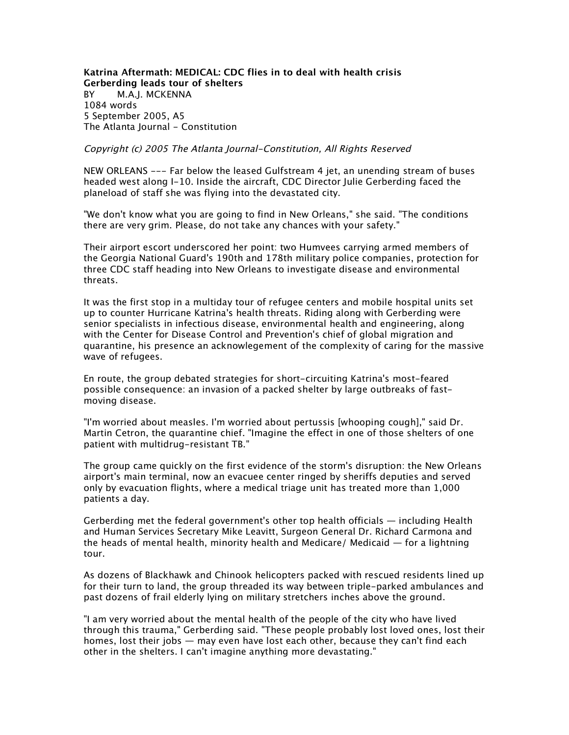**Katrina Aftermath: MEDICAL: CDC flies in to deal with health crisis Gerberding leads tour of shelters** *BY M.A.J. MCKENNA 1084 words 5 September 2005, A5 The Atlanta Journal - Constitution*

## Copyright (c) 2005 The Atlanta Journal-Constitution, All Rights Reserved

*NEW ORLEANS --- Far below the leased Gulfstream 4 jet, an unending stream of buses headed west along I-10. Inside the aircraft, CDC Director Julie Gerberding faced the planeload of staff she was flying into the devastated city.*

*"We don't know what you are going to find in New Orleans," she said. "The conditions there are very grim. Please, do not take any chances with your safety."*

*Their airport escort underscored her point: two Humvees carrying armed members of the Georgia National Guard's 190th and 178th military police companies, protection for three CDC staff heading into New Orleans to investigate disease and environmental threats.*

*It was the first stop in a multiday tour of refugee centers and mobile hospital units set up to counter Hurricane Katrina's health threats. Riding along with Gerberding were senior specialists in infectious disease, environmental health and engineering, along with the Center for Disease Control and Prevention's chief of global migration and quarantine, his presence an acknowlegement of the complexity of caring for the massive wave of refugees.*

*En route, the group debated strategies for short-circuiting Katrina's most-feared possible consequence: an invasion of a packed shelter by large outbreaks of fastmoving disease.*

*"I'm worried about measles. I'm worried about pertussis [whooping cough]," said Dr. Martin Cetron, the quarantine chief. "Imagine the effect in one of those shelters of one patient with multidrug-resistant TB."*

*The group came quickly on the first evidence of the storm's disruption: the New Orleans airport's main terminal, now an evacuee center ringed by sheriffs deputies and served only by evacuation flights, where a medical triage unit has treated more than 1,000 patients a day.*

*Gerberding met the federal government's other top health officials — including Health and Human Services Secretary Mike Leavitt, Surgeon General Dr. Richard Carmona and the heads of mental health, minority health and Medicare/ Medicaid — for a lightning tour.*

*As dozens of Blackhawk and Chinook helicopters packed with rescued residents lined up for their turn to land, the group threaded its way between triple-parked ambulances and past dozens of frail elderly lying on military stretchers inches above the ground.*

*"I am very worried about the mental health of the people of the city who have lived through this trauma," Gerberding said. "These people probably lost loved ones, lost their homes, lost their jobs — may even have lost each other, because they can't find each other in the shelters. I can't imagine anything more devastating."*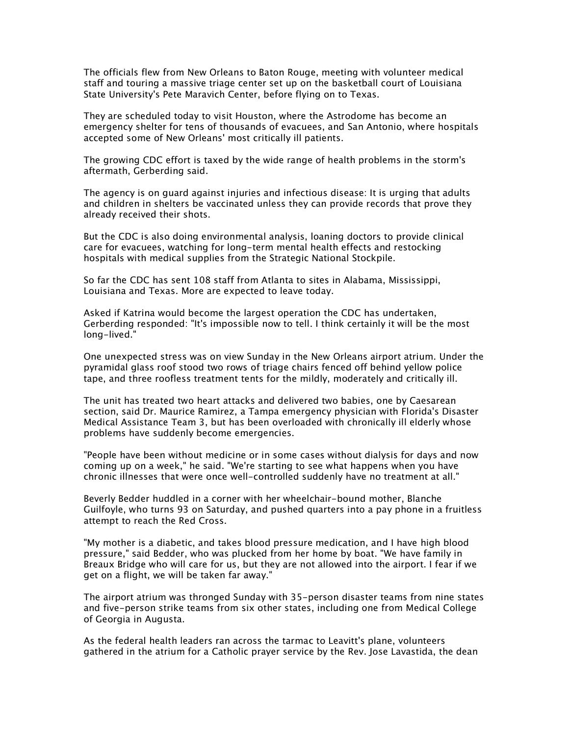*The officials flew from New Orleans to Baton Rouge, meeting with volunteer medical staff and touring a massive triage center set up on the basketball court of Louisiana State University's Pete Maravich Center, before flying on to Texas.*

*They are scheduled today to visit Houston, where the Astrodome has become an emergency shelter for tens of thousands of evacuees, and San Antonio, where hospitals accepted some of New Orleans' most critically ill patients.*

*The growing CDC effort is taxed by the wide range of health problems in the storm's aftermath, Gerberding said.*

*The agency is on guard against injuries and infectious disease: It is urging that adults and children in shelters be vaccinated unless they can provide records that prove they already received their shots.*

*But the CDC is also doing environmental analysis, loaning doctors to provide clinical care for evacuees, watching for long-term mental health effects and restocking hospitals with medical supplies from the Strategic National Stockpile.*

*So far the CDC has sent 108 staff from Atlanta to sites in Alabama, Mississippi, Louisiana and Texas. More are expected to leave today.*

*Asked if Katrina would become the largest operation the CDC has undertaken, Gerberding responded: "It's impossible now to tell. I think certainly it will be the most long-lived."*

*One unexpected stress was on view Sunday in the New Orleans airport atrium. Under the pyramidal glass roof stood two rows of triage chairs fenced off behind yellow police tape, and three roofless treatment tents for the mildly, moderately and critically ill.*

*The unit has treated two heart attacks and delivered two babies, one by Caesarean section, said Dr. Maurice Ramirez, a Tampa emergency physician with Florida's Disaster Medical Assistance Team 3, but has been overloaded with chronically ill elderly whose problems have suddenly become emergencies.*

*"People have been without medicine or in some cases without dialysis for days and now coming up on a week," he said. "We're starting to see what happens when you have chronic illnesses that were once well-controlled suddenly have no treatment at all."*

*Beverly Bedder huddled in a corner with her wheelchair-bound mother, Blanche Guilfoyle, who turns 93 on Saturday, and pushed quarters into a pay phone in a fruitless attempt to reach the Red Cross.*

*"My mother is a diabetic, and takes blood pressure medication, and I have high blood pressure," said Bedder, who was plucked from her home by boat. "We have family in Breaux Bridge who will care for us, but they are not allowed into the airport. I fear if we get on a flight, we will be taken far away."*

*The airport atrium was thronged Sunday with 35-person disaster teams from nine states and five-person strike teams from six other states, including one from Medical College of Georgia in Augusta.*

*As the federal health leaders ran across the tarmac to Leavitt's plane, volunteers gathered in the atrium for a Catholic prayer service by the Rev. Jose Lavastida, the dean*